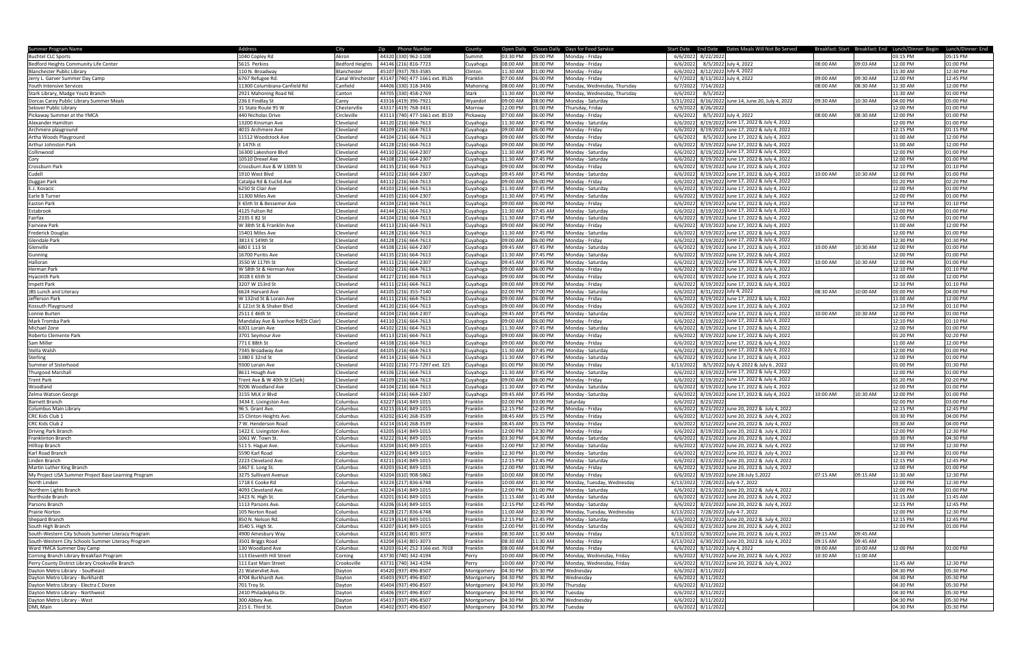| Summer Program Name                                 | Address                             | City             | Zip Phone Number               | County               | Open Daily Closes Daily Days for Food Service |                              | Start Date End Date Dates Meals Will Not Be Served    |          |          | Breakfast: Start Breakfast: End Lunch/Dinner: Begin Lunch/Dinner: End |          |
|-----------------------------------------------------|-------------------------------------|------------------|--------------------------------|----------------------|-----------------------------------------------|------------------------------|-------------------------------------------------------|----------|----------|-----------------------------------------------------------------------|----------|
| <b>Buchtel CLC Sports</b>                           | 1040 Copley Rd                      | Akron            | 44320 (330) 962-1108           | Summit               | 03:30 PM<br>05:00 PM                          | Monday - Friday              | 6/6/2022 8/22/2022                                    |          |          | 03:15 PM                                                              | 05:15 PM |
|                                                     |                                     |                  |                                |                      |                                               |                              |                                                       |          |          |                                                                       |          |
| Bedford Heights Community Life Center               | 5615 Perkins                        | Bedford Heights  | 44146 (216) 816-7723           | Cuyahoga             | 08:00 AM<br>08:00 PM                          | Monday - Friday              | 8/5/2022 July 4, 2022<br>6/6/2022                     | 08:00 AM | 09:03 AM | 12:00 PM                                                              | 01:00 PM |
| <b>Blanchester Public Library</b>                   | 10 N. Broadway                      | Blanchester      | 45107 (937) 783-3585           | Clinton              | 11:30 AM<br>01:00 PM                          | Monday - Friday              | 6/6/2022 8/12/2022 July 4, 2022                       |          |          | 11:30 AM                                                              | 12:30 PM |
| Jerry L. Garver Summer Day Camp                     | 5767 Refugee Rd.                    | Canal Winchester | 43147 (740) 477-1661 ext. 8526 | Franklin             | 07:00 AM<br>06:00 PM                          | Monday - Friday              | 6/7/2022 8/13/2022 July 4, 2022                       | 09:00 AM | 09:30 AM | 12:00 PM                                                              | 12:45 PM |
| <b>Youth Intensive Services</b>                     | 11300 Columbiana-Canfield Rd        | Canfield         | 44406 (330) 318-3436           | Mahoning             | 08:00 AM<br>01:00 PM                          | Tuesday, Wednesday, Thursday | 6/7/2022 7/14/2022                                    | 08:00 AM | 08:30 AM | 11:30 AM                                                              | 12:00 PM |
| Stark Library, Madge Youtz Branch                   | 2921 Mahoning Road NE               | Canton           | 44705 (330) 458-2769           | Stark                | 11:30 AM<br>01:00 PM                          | Monday, Wednesday, Thursday  | 6/6/2022<br>8/5/2022                                  |          |          | 11:30 AM                                                              | 01:00 PM |
| Dorcas Carey Public Library Summer Meals            | 236 E Findlay St                    | Carey            | 43316 (419) 396-7921           | Wyandot              | 09:00 AM<br>08:00 PM                          | Monday - Saturday            | 5/31/2022<br>8/16/2022 June 14, June 20, July 4, 2022 | 09:30 AM | 10:30 AM | 04:00 PM                                                              | 05:00 PM |
| Selover Public Library                              | 31 State Route 95 W                 | Chesterville     | 43317 (419) 768-3431           | Morrow               | 12:00 PM<br>01:00 PM                          | Thursday, Friday             | 6/9/2022<br>8/26/2022                                 |          |          | 12:00 PM                                                              | 01:00 PM |
|                                                     |                                     |                  | 43113 (740) 477-1661 ext. 8519 |                      |                                               |                              |                                                       |          |          |                                                                       |          |
| Pickaway Summer at the YMCA                         | 440 Nicholas Drive                  | Circleville      |                                | Pickaway             | 07:00 AM<br>06:00 PM                          | Monday - Friday              | 8/5/2022 July 4, 2022<br>6/6/2022                     | 08:00 AM | 08:30 AM | 12:00 PM                                                              | 01:00 PM |
| Alexander Hamilton                                  | 13200 Kinsman Ave                   | Cleveland        | 44120 (216) 664-7613           | uyahoga              | 11:30 AM<br>07:45 PM                          | Monday - Saturday            | 8/19/2022 June 17, 2022 & July 4, 2022<br>6/6/2022    |          |          | 12:00 PM                                                              | 01:00 PM |
| Archmere playground                                 | 4015 Archmere Ave                   | Cleveland        | 44109 (216) 664-7613           | Cuyahoga             | 09:00 AM<br>06:00 PM                          | Monday - Friday              | 8/19/2022 June 17, 2022 & July 4, 2022<br>6/6/2022    |          |          | 12:15 PM                                                              | 01:15 PM |
| Artha Woods Playground                              | 11512 Woodstock Ave                 | Cleveland        | 44104 (216) 664-7613           | Cuyahoga             | 09:00 AM<br>05:00 PM                          | Monday - Friday              | 8/5/2022 June 17, 2022 & July 4, 2022<br>6/6/2022     |          |          | 11:00 AM                                                              | 12:00 PM |
| Arthur Johnston Park                                | E 147th st                          | Cleveland        | 44128 (216) 664-7613           | Cuyahoga             | 09:00 AM<br>06:00 PM                          | Monday - Friday              | 6/6/2022 8/19/2022 June 17, 2022 & July 4, 2022       |          |          | 11:00 AM                                                              | 12:00 PM |
| Collinwood                                          | 16300 Lakeshore Blvd                | Cleveland        | 44110 (216) 664-2307           | Cuyahoga             | 11:30 AM<br>07:45 PM                          | Monday - Saturday            | 6/6/2022 8/19/2022 June 17, 2022 & July 4, 2022       |          |          | 12:00 PM                                                              | 01:00 PM |
| Cory                                                | 10510 Drexel Ave                    | Cleveland        | 44108 (216) 664-2307           | Cuyahoga             | 11:30 AM<br>07:45 PM                          | Monday - Saturday            | 6/6/2022 8/19/2022 June 17, 2022 & July 4, 2022       |          |          | 12:00 PM                                                              | 01:00 PM |
|                                                     |                                     |                  |                                |                      |                                               |                              |                                                       |          |          |                                                                       |          |
| Crossburn Park                                      | Crossburn Ave & W 130th St          | Cleveland        | 44135 (216) 664-7613           | Cuyahoga             | 09:00 AM<br>06:00 PM                          | Monday - Friday              | 6/6/2022<br>8/19/2022 June 17, 2022 & July 4, 2022    |          |          | 12:10 PM                                                              | 01:10 PM |
| Cudell                                              | 1910 West Blvd                      | Cleveland        | 44102 (216) 664-2307           | uyahoga              | 09:45 AM<br>17:45 PM                          | Monday - Saturday            | 6/6/2022 8/19/2022 June 17, 2022 & July 4, 2022       | 10:00 AM | 10:30 AM | 12:00 PM                                                              | 01:00 PM |
| Duggan Park                                         | Catalpa Rd & Euclid Ave             | Cleveland        | 44112 (216) 664-7613           | Cuyahoga             | 09:00 AM<br>06:00 PM                          | Monday - Friday              | 6/6/2022<br>8/19/2022 June 17, 2022 & July 4, 2022    |          |          | 01:20 PM                                                              | 02:20 PM |
| E.J. Kovacic                                        | 6250 St Clair Ave                   | Cleveland        | 44103 (216) 664-7613           | Cuyahoga             | 11:30 AM<br>07:45 PM                          | Monday - Saturday            | 8/19/2022 June 17, 2022 & July 4, 2022<br>6/6/2022    |          |          | 12:00 PM                                                              | 01:00 PM |
| Earle B Turner                                      | 1300 Miles Ave                      | Cleveland        | 44105 (216) 664-2307           | Cuyahoga             | 11:30 AM<br>07:45 PM                          | Monday - Saturday            | 8/19/2022 June 17, 2022 & July 4, 2022<br>6/6/2022    |          |          | 12:00 PM                                                              | 01:00 PM |
| <b>Easton Park</b>                                  | E 65th St & Bessemer Ave            | Cleveland        | 44104 (216) 664-7613           | Cuyahoga             | 09:00 AM<br>06:00 PM                          | Monday - Friday              | 8/19/2022 June 17, 2022 & July 4, 2022<br>6/6/2022    |          |          | 12:10 PM                                                              | 01:10 PM |
| Estabrook                                           | 4125 Fulton Rd                      | Cleveland        | 44144 (216) 664-7613           | Cuyahoga             | 11:30 AM<br>07:45 AM                          | Monday - Saturday            | 6/6/2022<br>8/19/2022 June 17, 2022 & July 4, 2022    |          |          | 12:00 PM                                                              | 01:00 PM |
|                                                     |                                     |                  |                                |                      |                                               |                              |                                                       |          |          |                                                                       |          |
| Fairfax                                             | 2335 E 82 St                        | Cleveland        | 44104 (216) 664-7613           | Cuyahoga             | 11:30 AM<br>07:45 PM                          | Monday - Saturday            | 6/6/2022 8/19/2022 June 17, 2022 & July 4, 2022       |          |          | 12:00 PM                                                              | 01:00 PM |
| <b>Fairview Park</b>                                | W 38th St & Franklin Ave            | Cleveland        | 44113 (216) 664-7613           | Cuyahoga             | 09:00 AM<br>06:00 PM                          | Monday - Friday              | 6/6/2022 8/19/2022 June 17, 2022 & July 4, 2022       |          |          | 11:00 AM                                                              | 12:00 PM |
| <b>Frederick Douglas</b>                            | 15401 Miles Ave                     | Cleveland        | 44128 (216) 664-7613           | Cuyahoga             | 11:30 AM<br>07:45 PM                          | Monday - Saturday            | 6/6/2022 8/19/2022 June 17, 2022 & July 4, 2022       |          |          | 12:00 PM                                                              | 01:00 PM |
| Glendale Park                                       | 3813 E 149th St                     | Cleveland        | 44128 (216) 664-7613           | Cuyahoga             | 09:00 AM<br>06:00 PM                          | Monday - Friday              | 6/6/2022 8/19/2022 June 17, 2022 & July 4, 2022       |          |          | 12:30 PM                                                              | 01:30 PM |
| Glenville                                           | 680 E 113 St                        | Cleveland        | 44108 (216) 664-2307           | Cuyahoga             | 09:45 AM<br>07:45 PM                          | Monday - Saturday            | 6/6/2022 8/19/2022 June 17, 2022 & July 4, 2022       | 10:00 AM | 10:30 AM | 12:00 PM                                                              | 01:00 PM |
| Gunning                                             | 16700 Puritis Ave                   | Cleveland        | 44135 (216) 664-7613           | Cuyahoga             | 11:30 AM<br>07:45 PM                          | Monday - Saturday            | 6/6/2022 8/19/2022 June 17, 2022 & July 4, 2022       |          |          | 12:00 PM                                                              | 01:00 PM |
| Halloran                                            | 3550 W 117th St                     | Cleveland        | 44111 (216) 664-2307           | uyahoga              | 09:45 AM<br>07:45 PM                          | Monday - Saturday            | 6/6/2022 8/19/2022 June 17, 2022 & July 4, 2022       | 10:00 AM | 10:30 AM | 12:00 PM                                                              | 01:00 PM |
|                                                     |                                     |                  |                                |                      |                                               |                              |                                                       |          |          |                                                                       |          |
| Herman Park                                         | W 58th St & Herman Ave              | Cleveland        | 44102 (216) 664-7613           | uyahoga              | 09:00 AM<br>06:00 PM                          | Monday - Friday              | 8/19/2022 June 17, 2022 & July 4, 2022<br>6/6/2022    |          |          | 12:10 PM                                                              | 01:10 PM |
| Hyacinth Park                                       | 3028 E 65th St                      | Cleveland        | 44127 (216) 664-7613           | Cuyahoga             | 09:00 AM<br>06:00 PM                          | Monday - Friday              | 6/6/2022<br>8/19/2022 June 17, 2022 & July 4, 2022    |          |          | 11:00 AM                                                              | 12:00 PM |
| Impett Park                                         | 3207 W 153rd St                     | Cleveland        | 44111 (216) 664-7613           | Cuyahoga             | 09:00 AM<br>09:00 PM                          | Monday - Friday              | 8/19/2022 June 17, 2022 & July 4, 2022<br>6/6/2022    |          |          | 12:10 PM                                                              | 01:10 PM |
| <b>JBS Lunch and Literacy</b>                       | 6624 Harvard Ave                    | Cleveland        | 44105 (216) 355-7140           | Cuyahoga             | 02:00 PM<br>07:00 PM                          | Monday - Saturday            | 6/6/2022<br>8/31/2022 July 4, 2022                    | 08:30 AM | MA 00:01 | 03:00 PM                                                              | 04:00 PM |
| Jefferson Park                                      | W 132nd St & Lorain Ave             | Cleveland        | 44111 (216) 664-7613           | Cuyahoga             | 09:00 AM<br>06:00 PM                          | Monday - Friday              | 8/19/2022 June 17, 2022 & July 4, 2022<br>6/6/2022    |          |          | 11:00 AM                                                              | 12:00 PM |
| Kossuth Playground                                  | E 121st St & Shaker Blvd            | Cleveland        | 44120 (216) 664-7613           | Cuyahoga             | 09:00 AM<br>06:00 PM                          | Monday - Friday              | 6/6/2022<br>8/19/2022 June 17, 2022 & July 4, 2022    |          |          | 12:10 PM                                                              | 01:10 PM |
|                                                     | 2511 E 46th St                      |                  |                                |                      | 09:45 AM<br>07:45 PM                          |                              | 8/19/2022 June 17, 2022 & July 4, 2022<br>6/6/2022    | 10:00 AM | 10:30 AM | 12:00 PM                                                              | 01:00 PM |
| Lonnie Burten                                       |                                     | Cleveland        | 44104 (216) 664-2307           | Cuyahoga             |                                               | Monday - Saturday            |                                                       |          |          |                                                                       |          |
| Mark Tromba Park                                    | Mandalay Ave & Ivanhoe Rd(St Clair) | Cleveland        | 44110 (216) 664-7613           | uyahoga              | 09:00 AM<br>06:00 PM                          | Monday - Friday              | 6/6/2022 8/19/2022 June 17, 2022 & July 4, 2022       |          |          | 12:10 PM                                                              | 01:10 PM |
| Michael Zone                                        | 6301 Lorain Ave                     | Cleveland        | 44102 (216) 664-7613           | Cuyahoga             | 11:30 AM<br>07:45 PM                          | Monday - Saturday            | 6/6/2022 8/19/2022 June 17, 2022 & July 4, 2022       |          |          | 12:00 PM                                                              | 01:00 PM |
| Roberto Clemente Park                               | 3701 Seymour Ave                    | Cleveland        | 44113 (216) 664-7613           | Cuyahoga             | 09:00 AM<br>06:00 PM                          | Monday - Friday              | 6/6/2022 8/19/2022 June 17, 2022 & July 4, 2022       |          |          | 01:20 PM                                                              | 02:20 PM |
| Sam Miller                                          | 771 E 88th St                       | Cleveland        | 44108 (216) 664-7613           | Cuyahoga             | 09:00 AM<br>06:00 PM                          | Monday - Friday              | 6/6/2022 8/19/2022 June 17, 2022 & July 4, 2022       |          |          | 11:00 AM                                                              | 12:00 PM |
| Stella Walsh                                        | 7345 Broadway Ave                   | Cleveland        | 44105 (216) 664-7613           | Cuyahoga             | 11:30 AM<br>07:45 PM                          | Monday - Saturday            | 6/6/2022<br>8/19/2022 June 17, 2022 & July 4, 2022    |          |          | 12:00 PM                                                              | 01:00 PM |
| Sterling                                            | 1380 E 32nd St                      | Cleveland        | 44114 (216) 664-7613           | uyahoga              | 11:30 AM<br>17:45 PM                          | Monday - Saturday            | 6/6/2022<br>8/19/2022 June 17, 2022 & July 4, 2022    |          |          | 12:00 PM                                                              | 01:00 PM |
|                                                     |                                     |                  |                                |                      |                                               |                              |                                                       |          |          |                                                                       |          |
| Summer of Sisterhood                                | 300 Lorain Ave                      | Cleveland        | 44102 (216) 771-7297 ext. 325  | uyahoga              | 01:00 PM<br>06:00 PM                          | Monday - Friday              | 6/13/2022<br>8/5/2022 July 4, 2022 & July 6, 2022     |          |          | 01:00 PM                                                              | 01:30 PM |
| Thurgood Marshall                                   | 8611 Hough Ave                      | Cleveland        | 44106 (216) 664-7613           | Cuyahoga             | 11:30 AM<br>07:45 PM                          | Monday - Saturday            | 6/6/2022<br>8/19/2022 June 17, 2022 & July 4, 2022    |          |          | 12:00 PM                                                              | 01:00 PM |
| Trent Park                                          | Trent Ave & W 40th St (Clark)       | Cleveland        | 44109 (216) 664-7613           | Cuyahoga             | 09:00 AM<br>06:00 PM                          | Monday - Friday              | 6/6/2022<br>8/19/2022 June 17, 2022 & July 4, 2022    |          |          | 01:20 PM                                                              | 02:20 PM |
| Woodland                                            | 9206 Woodland Ave                   | Cleveland        | 44104 (216) 664-7613           | Cuyahoga             | 11:30 AM<br>07:45 PM                          | Monday - Saturday            | 6/6/2022<br>8/19/2022 June 17, 2022 & July 4, 2022    |          |          | 12:00 PM                                                              | 01:00 PM |
| Zelma Watson George                                 | 3155 MLK Jr Blvd                    | Cleveland        | 44104 (216) 664-2307           | Cuyahoga             | 09:45 AM<br>07:45 PM                          | Monday - Saturday            | 6/6/2022 8/19/2022 June 17, 2022 & July 4, 2022       | 10:00 AM | 10:30 AM | 12:00 PM                                                              | 01:00 PM |
| Barnett Branch                                      | 3434 E. Livingston Ave.             | Columbus         | 43227 (614) 849-1015           | <sup>:</sup> ranklin | 02:00 PM<br>03:00 PM                          | Saturday                     | 6/6/2022 8/23/2022                                    |          |          | 02:00 PM                                                              | 03:00 PM |
| Columbus Main Library                               | 96 S. Grant Ave.                    | Columbus         | 43215 (614) 849-1015           | <b>Franklin</b>      | 12:15 PM<br>12:45 PM                          | Monday - Friday              | 6/6/2022 8/23/2022 June 20, 2022 & July 4, 2022       |          |          | 12:15 PM                                                              | 12:45 PM |
| CRC Kids Club 1                                     |                                     | Columbus         |                                | Franklin             | 08:45 AM<br>05:15 PM                          |                              | 6/6/2022 8/12/2022 June 20, 2022 & July 4, 2022       |          |          | 03:30 PM                                                              | 04:00 PM |
|                                                     | 15 Clinton Heights Ave.             |                  | 43202 (614) 268-3539           |                      |                                               | Monday - Friday              |                                                       |          |          |                                                                       |          |
| CRC Kids Club 2                                     | W. Henderson Road                   | Columbus         | 43214 (614) 268-3539           | Franklin             | 08:45 AM<br>05:15 PM                          | Monday - Friday              | 6/6/2022 8/12/2022 June 20, 2022 & July 4, 2022       |          |          | 03:30 AM                                                              | 04:00 PM |
| Driving Park Branch                                 | 1422 E. Livingston Ave.             | Columbus         | 43205 (614) 849-1015           | Franklin             | 12:00 PM<br>12:30 PM                          | Monday - Friday              | 6/6/2022 8/19/2022 June 20, 2022 & July 4, 2022       |          |          | 12:00 PM                                                              | 12:30 PM |
| Franklinton Branch                                  | 1061 W. Town St                     | Columbus         | 43222 (614) 849-1015           | Franklin             | 03:30 PM<br>04:30 PM                          | Monday - Saturday            | 6/6/2022 8/23/2022 June 20, 2022 & July 4, 2022       |          |          | 03:30 PM                                                              | 04:30 PM |
| Hilltop Branch                                      | 511 S. Hague Ave.                   | Columbus         | 43204 (614) 849-1015           | Franklin             | 12:00 PM<br>12:30 PM                          | Monday - Saturday            | 6/6/2022 8/23/2022 June 20, 2022 & July 4, 2022       |          |          | 12:00 PM                                                              | 12:30 PM |
| Karl Road Branch                                    | 5590 Karl Road                      | Columbus         | 43229 (614) 849-1015           | Franklin             | 12:30 PM<br>01:00 PM                          | Monday - Saturday            | 6/6/2022 8/23/2022 June 20, 2022 & July 4, 2022       |          |          | 12:30 PM                                                              | 01:00 PM |
| Linden Branch                                       | 2223 Cleveland Ave.                 | Columbus         | 43211 (614) 849-1015           | Franklin             | 12:15 PM<br>12:45 PM                          | Monday - Saturday            | 6/6/2022 8/23/2022 June 20, 2022 & July 4, 2022       |          |          | 12:15 PM                                                              | 12:45 PM |
| Martin Luther King Branch                           | 1467 E. Long St.                    | Columbus         | 43203 (614) 849-1015           | Franklin             | 12:00 PM<br>01:00 PM                          | Monday - Friday              | 8/23/2022 June 20, 2022 & July 4, 2022<br>6/6/2022    |          |          | 12:00 PM                                                              | 01:00 PM |
| My Project USA Summer Project Base Learning Program | 3275 Sullivant Avenue               | Columbus         | 43204 (610) 908-5862           | Franklin             | 10:00 AM<br>08:00 PM                          | Monday - Friday              | 6/6/2022 8/19/2022 June 28-July 5,2022                | 07:15 AM | 09:15 AM | 11:30 AM                                                              | 12:30 PM |
|                                                     |                                     |                  |                                |                      |                                               |                              |                                                       |          |          |                                                                       |          |
| North Linden                                        | 1718 E Cooke Rd                     | Columbus         | 43224 (217) 836-6748           | Franklin             | 10:00 AM<br>01:30 PM                          | Monday, Tuesday, Wednesday   | 6/13/2022 7/28/2022 July 4-7, 2022                    |          |          | 12:00 PM                                                              | 12:30 PM |
| Northern Lights Branch                              | 4093 Cleveland Ave                  | Columbus         | 43224 (614) 849-1015           | Franklin             | 12:00 PM<br>01:00 PM                          | Monday - Saturday            | 6/6/2022 8/23/2022 June 20, 2022 & July 4, 2022       |          |          | 12:00 PM                                                              | 01:00 PM |
| Northside Branch                                    | 1423 N. High St.                    | Columbus         | 43201 (614) 849-1015           | Franklin             | 11:15 AM<br>11:45 AM                          | Monday - Saturday            | 6/6/2022 8/23/2022 June 20, 2022 & July 4, 2022       |          |          | 11:15 AM                                                              | 11:45 AM |
| Parsons Branch                                      | 1113 Parsons Ave.                   | Columbus         | 43206 (614) 849-1015           | Franklin             | 12:15 PM<br>12:45 PM                          | Monday - Saturday            | 6/6/2022 8/23/2022 June 20, 2022 & July 4, 2022       |          |          | 12:15 PM                                                              | 12:45 PM |
| Prairie Norton                                      | 105 Norton Road                     | Columbus         | 43228 (217) 836-6748           | Franklin             | 11:00 AM<br>02:30 PM                          | Monday, Tuesday, Wednesday   | 6/13/2022 7/28/2022 July 4-7, 2022                    |          |          | 12:00 PM                                                              | 12:30 PM |
| Shepard Branch                                      | 850 N. Nelson Rd.                   | Columbus         | 43219 (614) 849-1015           | Franklin             | 12:15 PM<br>12:45 PM                          | Monday - Saturday            | 6/6/2022 8/23/2022 June 20, 2022 & July 4, 2022       |          |          | 12:15 PM                                                              | 12:45 PM |
|                                                     | 3540 S. High St.                    | Columbus         | 43207 (614) 849-1015           | Franklin             | 12:00 PM<br>1:00 PM                           | Monday - Saturday            | 6/6/2022 8/23/2022 June 20, 2022 & July 4, 2022       |          |          | 12:00 PM                                                              | 01:00 PM |
| South High Branch                                   |                                     |                  |                                |                      |                                               |                              |                                                       |          |          |                                                                       |          |
| South-Western City Schools Summer Literacy Program  | 4900 Amesbury Way                   | Columbus         | 43228 (614) 801-3073           | Franklin             | 08:30 AM<br>1:30 AM                           | Monday - Friday              | 6/13/2022 6/30/2022 June 20, 2022 & July 4, 2022      | 09:15 AM | 09:45 AM |                                                                       |          |
| South-Western City Schools Summer Literacy Program  | 3501 Briggs Road                    | Columbus         | 43204 (614) 801-3073           | Franklin             | 08:30 AM<br>11:30 AM                          | Monday - Friday              | 6/13/2022 6/30/2022 June 20, 2022 & July 4, 2022      | 09:15 AM | 09:45 AM |                                                                       |          |
| Ward YMCA Summer Day Camp                           | 130 Woodland Ave                    | Columbus         | 43203 (614) 252-3166 ext. 7018 | Franklin             | 08:00 AM<br>04:00 PM                          | Monday - Friday              | 6/6/2022 8/12/2022 July 4, 2022                       | 09:00 AM | 10:00 AM | 12:00 PM                                                              | 01:00 PM |
| Corning Branch Library Breakfast Program            | 113 Eleventh Hill Street            | Corning          | 43730 (740) 342-4194           | erry                 | 10:00 AM<br>06:00 PM                          | Monday, Wednesday, Friday    | 6/6/2022 8/31/2022 June 20, 2022 & July 4, 2022       | 10:30 AM | 11:00 AM |                                                                       |          |
| Perry County District Library Crooksville Branch    | 111 East Main Street                | Crooksville      | 43731 (740) 342-4194           | Perry                | 10:00 AM<br>07:00 PM                          | Monday, Wednesday, Friday    | 6/6/2022<br>8/31/2022 June 20, 2022 & July 4, 2022    |          |          | 11:45 AM                                                              | 12:30 PM |
| Dayton Metro Library - Southeast                    | 21 Watervliet Ave.                  | Dayton           | 45420 (937) 496-8507           | Montgomer            | 04:30 PM<br>05:30 PM                          | Wednesday                    | 6/6/2022 8/11/2022                                    |          |          | 04:30 PM                                                              | 05:30 PM |
| Dayton Metro Library - Burkhardt                    | 4704 Burkhardt Ave.                 | Dayton           | 45403 (937) 496-8507           | Montgomer            | 04:30 PM<br>05:30 PM                          | Wednesday                    | 6/6/2022 8/11/2022                                    |          |          | 04:30 PM                                                              | 05:30 PM |
| Dayton Metro Library - Electra C Doren              | 701 Troy St.                        | Dayton           | 45404 (937) 496-8507           | <b>Montgomery</b>    | 04:30 PM<br>05:30 PM                          | Thursday                     | 6/6/2022 8/11/2022                                    |          |          | 04:30 PM                                                              | 05:30 PM |
|                                                     |                                     |                  |                                |                      |                                               |                              |                                                       |          |          |                                                                       |          |
| Dayton Metro Library - Northwest                    | 2410 Philadelphia Dr.               | Dayton           | 45406 (937) 496-8507           | Montgomery           | 04:30 PM<br>05:30 PM                          | Tuesday                      | 6/6/2022 8/11/2022                                    |          |          | 04:30 PM                                                              | 05:30 PM |
| Dayton Metro Library - West                         | 300 Abbey Ave.                      | Dayton           | 45417 (937) 496-8507           | Montgomery           | 04:30 PM<br>05:30 PM                          | Wednesday                    | 6/6/2022 8/11/2022                                    |          |          | 04:30 PM                                                              | 05:30 PM |
| <b>DML Main</b>                                     | 215 E. Third St.                    | Dayton           | 45402 (937) 496-8507           | Montgomery           | 04:30 PM<br>05:30 PM                          | Tuesday                      | 6/6/2022 8/11/2022                                    |          |          | 04:30 PM                                                              | 05:30 PM |